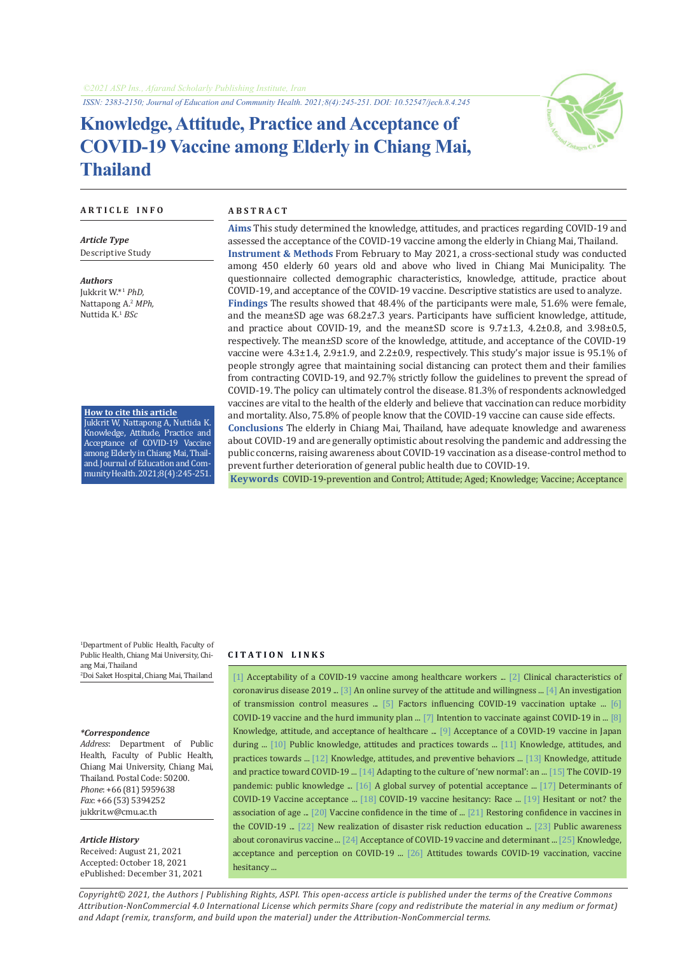*ISSN: 2383-2150; Journal of Education and Community Health. 2021;8(4):245-251. DOI: 10.52547/jech.8.4.245*

# **Knowledge, Attitude, Practice and Acceptance of COVID-19 Vaccine among Elderly in Chiang Mai, Thailand**



#### **A R T I C L E I N F O A B S T R A C T**

*Article Type* Descriptive Study

*Authors* Jukkrit W.\*1 *PhD,* Nattapong A.<sup>2</sup> *MPh,* Nuttida K.<sup>1</sup> *BSc*

**How to cite this article** Jukkrit W, Nattapong A, Nuttida K. Knowledge, Attitude, Practice and Acceptance of COVID-19 Vaccine among Elderly in Chiang Mai, Thailand. Journal of Education and CommunityHealth.2021;8(4):245-251.

**Aims** This study determined the knowledge, attitudes, and practices regarding COVID-19 and assessed the acceptance of the COVID-19 vaccine among the elderly in Chiang Mai, Thailand. **Instrument & Methods** From February to May 2021, a cross-sectional study was conducted among 450 elderly 60 years old and above who lived in Chiang Mai Municipality. The questionnaire collected demographic characteristics, knowledge, attitude, practice about COVID-19, and acceptance of the COVID-19 vaccine. Descriptive statistics are used to analyze. **Findings** The results showed that 48.4% of the participants were male, 51.6% were female, and the mean±SD age was 68.2±7.3 years. Participants have sufficient knowledge, attitude, and practice about COVID-19, and the mean±SD score is 9.7±1.3, 4.2±0.8, and 3.98±0.5, respectively. The mean±SD score of the knowledge, attitude, and acceptance of the COVID-19 vaccine were 4.3±1.4, 2.9±1.9, and 2.2±0.9, respectively. This study's major issue is 95.1% of people strongly agree that maintaining social distancing can protect them and their families from contracting COVID-19, and 92.7% strictly follow the guidelines to prevent the spread of COVID-19. The policy can ultimately control the disease. 81.3% of respondents acknowledged vaccines are vital to the health of the elderly and believe that vaccination can reduce morbidity and mortality. Also, 75.8% of people know that the COVID-19 vaccine can cause side effects. **Conclusions** The elderly in Chiang Mai, Thailand, have adequate knowledge and awareness about COVID-19 and are generally optimistic about resolving the pandemic and addressing the

public concerns, raising awareness about COVID-19 vaccination as a disease-control method to prevent further deterioration of general public health due to COVID-19.

 **Keywords** COVID-19-prevention and Control; [Attitude](https://www.ncbi.nlm.nih.gov/mesh/68001290); [Aged](https://www.ncbi.nlm.nih.gov/mesh/68000368); [Knowledge](https://www.ncbi.nlm.nih.gov/mesh/68019359); [Vaccine;](https://www.ncbi.nlm.nih.gov/mesh/68014612) Acceptance

1 Department of Public Health, Faculty of Public Health, Chiang Mai University, Chiang Mai, Thailand 2 Doi Saket Hospital, Chiang Mai, Thailand

#### *\*Correspondence*

*Address*: Department of Public Health, Faculty of Public Health, Chiang Mai University, Chiang Mai, Thailand. Postal Code: 50200. *Phone*: +66 (81) 5959638 *Fax*: +66 (53) 5394252 jukkrit.w@cmu.ac.th

#### *Article History*

Received: August 21, 2021 Accepted: October 18, 2021 ePublished: December 31, 2021

#### **C I T A T I O N L I N K S**

[\[1\]](https://pubmed.ncbi.nlm.nih.gov/33732723/) Acceptability of a COVID-19 vaccine among healthcare workers ... [\[2\]](https://www.nejm.org/doi/full/10.1056/nejmoa2002032) Clinical characteristics of coronavirus disease 2019 ... [\[3\]](https://pubmed.ncbi.nlm.nih.gov/33522405/) An online survey of the attitude and willingness ... [[4](https://www.science.org/doi/10.1126/science.abb6105)] An investigation of transmission control measures ... [[5\]](https://www.medrxiv.org/content/10.1101/2021.03.21.21254047v1) Factors influencing COVID-19 vaccination uptake ... [6] COVID-19 vaccine and the hurd immunity plan ... [\[7](https://www.thelancet.com/journals/laninf/article/PIIS1473-3099(20)30724-6/fulltext)] Intention to vaccinate against COVID-19 in ... [[8\]](https://bmcpublichealth.biomedcentral.com/articles/10.1186/s12889-021-10987-3) Knowledge, attitude, and acceptance of healthcare ... [[9](https://tohoku.pure.elsevier.com/en/publications/acceptance-of-a-covid-19-vaccine-in-japan-during-the-covid-19-pan)] Acceptance of a COVID-19 vaccine in Japan during ... [\[10](https://journals.plos.org/plosone/article?id=10.1371/journal.pone.0233668)] Public knowledge, attitudes and practices towards ... [[11](https://www.ncbi.nlm.nih.gov/pmc/articles/PMC7098034/)] Knowledge, attitudes, and practices towards ... [\[12\]](https://he01.tci-thaijo.org/index.php/pck/article/view/247955) Knowledge, attitudes, and preventive behaviors ... [[13](https://www.ncbi.nlm.nih.gov/pmc/articles/PMC7266869/)] Knowledge, attitude and practice toward COVID-19 ... [\[14](https://academic.oup.com/jpubhealth/article/43/2/e344/6158063)] Adapting to the culture of 'new normal': an ... [\[15](https://jech.umsha.ac.ir/article-1-1247-en.html)] The COVID-19 pandemic: public knowledge ... [[16](https://www.nature.com/articles/s41591-020-1124-9)] A global survey of potential acceptance ... [\[17\]](https://pubmed.ncbi.nlm.nih.gov/33262600/) Determinants of COVID-19 Vaccine acceptance ... [[18\]](https://ascpt.onlinelibrary.wiley.com/doi/10.1111/cts.13077) COVID-19 vaccine hesitancy: Race ... [\[19\]](https://pubmed.ncbi.nlm.nih.gov/33719881/) Hesitant or not? the association of age ... [\[20](https://pubmed.ncbi.nlm.nih.gov/32318915/)] Vaccine confidence in the time of ... [\[21](https://www.tandfonline.com/doi/full/10.1080/14760584.2020.1825945)] Restoring confidence in vaccines in the COVID-19 ... [[22\]](https://link.springer.com/article/10.1007/s13753-021-00337-7) New realization of disaster risk reduction education ... [[23](https://pubmed.ncbi.nlm.nih.gov/34255346/)] Public awareness about coronavirus vaccine ... [[24\]](https://www.dovepress.com/acceptance-of-covid-19-vaccine-and-determinant-factors-among-patients--peer-reviewed-fulltext-article-PPA) Acceptance of COVID-19 vaccine and determinant ... [\[25\]](https://journals.plos.org/plosone/article?id=10.1371/journal.pone.0256110) Knowledge, acceptance and perception on COVID-19 ... [\[26\]](https://www.ncbi.nlm.nih.gov/pmc/articles/PMC8005329/) Attitudes towards COVID-19 vaccination, vaccine hesitancy ...

*Copyright© 2021, the Authors | Publishing Rights, ASPI. This open-access article is published under the terms of the Creative Commons Attribution-NonCommercial 4.0 International License which permits Share (copy and redistribute the material in any medium or format) and Adapt (remix, transform, and build upon the material) under the Attribution-NonCommercial terms.*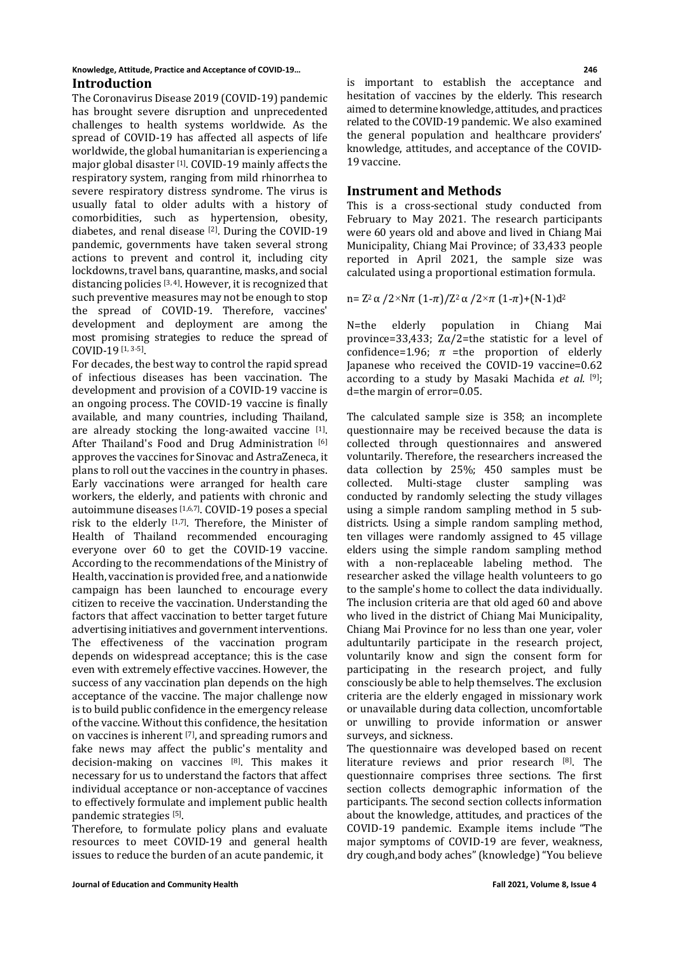#### **Knowledge, Attitude, Practice and Acceptance of COVID-19… 246 Introduction**

The Coronavirus Disease 2019 (COVID-19) pandemic has brought severe disruption and unprecedented challenges to health systems worldwide. As the spread of COVID-19 has affected all aspects of life worldwide, the global humanitarian is experiencing a major global disaster [1]. COVID-19 mainly affects the respiratory system, ranging from mild rhinorrhea to severe respiratory distress syndrome. The virus is usually fatal to older adults with a history of comorbidities, such as hypertension, obesity, diabetes, and renal disease  $[2]$ . During the COVID-19 pandemic, governments have taken several strong actions to prevent and control it, including city lockdowns, travel bans, quarantine, masks, and social distancing policies [3, 4]. However, it is recognized that such preventive measures may not be enough to stop the spread of COVID-19. Therefore, vaccines' development and deployment are among the most promising strategies to reduce the spread of COVID-19 [1, 3-5].

For decades, the best way to control the rapid spread of infectious diseases has been vaccination. The development and provision of a COVID-19 vaccine is an ongoing process. The COVID-19 vaccine is finally available, and many countries, including Thailand, are already stocking the long-awaited vaccine [1]. After Thailand's Food and Drug Administration [6] approves the vaccines for Sinovac and AstraZeneca, it plans to roll out the vaccines in the country in phases. Early vaccinations were arranged for health care workers, the elderly, and patients with chronic and autoimmune diseases [1,6,7]. COVID-19 poses a special risk to the elderly [1,7]. Therefore, the Minister of Health of Thailand recommended encouraging everyone over 60 to get the COVID-19 vaccine. According to the recommendations of the Ministry of Health, vaccination is provided free, and a nationwide campaign has been launched to encourage every citizen to receive the vaccination. Understanding the factors that affect vaccination to better target future advertising initiatives and government interventions. The effectiveness of the vaccination program depends on widespread acceptance; this is the case even with extremely effective vaccines. However, the success of any vaccination plan depends on the high acceptance of the vaccine. The major challenge now is to build public confidence in the emergency release of the vaccine. Without this confidence, the hesitation on vaccines is inherent [7], and spreading rumors and fake news may affect the public's mentality and decision-making on vaccines [8]. This makes it necessary for us to understand the factors that affect individual acceptance or non-acceptance of vaccines to effectively formulate and implement public health pandemic strategies [5].

Therefore, to formulate policy plans and evaluate resources to meet COVID-19 and general health issues to reduce the burden of an acute pandemic, it

is important to establish the acceptance and hesitation of vaccines by the elderly. This research aimed to determine knowledge, attitudes, and practices related to the COVID-19 pandemic. We also examined the general population and healthcare providers' knowledge, attitudes, and acceptance of the COVID-19 vaccine.

# **Instrument and Methods**

This is a cross-sectional study conducted from February to May 2021. The research participants were 60 years old and above and lived in Chiang Mai Municipality, Chiang Mai Province; of 33,433 people reported in April 2021, the sample size was calculated using a proportional estimation formula.

$$
n = Z^2 \alpha / 2 \times N \pi (1-\pi) / Z^2 \alpha / 2 \times \pi (1-\pi) + (N-1)d^2
$$

N=the elderly population in Chiang Mai province=33,433;  $Z\alpha/2$ =the statistic for a level of confidence=1.96;  $\pi$  =the proportion of elderly Japanese who received the COVID-19 vaccine=0.62 according to a study by Masaki Machida *et al.* [9]; d=the margin of error=0.05.

The calculated sample size is 358; an incomplete questionnaire may be received because the data is collected through questionnaires and answered voluntarily. Therefore, the researchers increased the data collection by 25%; 450 samples must be collected. Multi-stage cluster sampling was collected. Multi-stage cluster sampling conducted by randomly selecting the study villages using a simple random sampling method in 5 subdistricts. Using a simple random sampling method, ten villages were randomly assigned to 45 village elders using the simple random sampling method with a non-replaceable labeling method. The researcher asked the village health volunteers to go to the sample's home to collect the data individually. The inclusion criteria are that old aged 60 and above who lived in the district of Chiang Mai Municipality, Chiang Mai Province for no less than one year, voler adultuntarily participate in the research project, voluntarily know and sign the consent form for participating in the research project, and fully consciously be able to help themselves. The exclusion criteria are the elderly engaged in missionary work or unavailable during data collection, uncomfortable or unwilling to provide information or answer surveys, and sickness.

The questionnaire was developed based on recent literature reviews and prior research [8]. The questionnaire comprises three sections. The first section collects demographic information of the participants. The second section collects information about the knowledge, attitudes, and practices of the COVID-19 pandemic. Example items include "The major symptoms of COVID-19 are fever, weakness, dry cough,and body aches" (knowledge) "You believe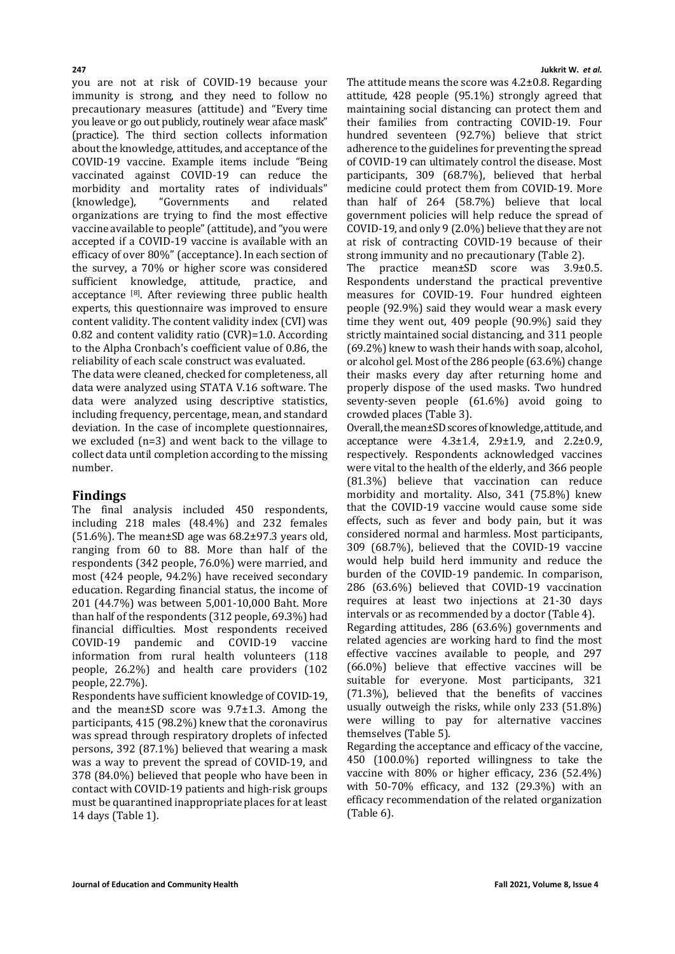you are not at risk of COVID-19 because your immunity is strong, and they need to follow no precautionary measures (attitude) and "Every time you leave or go out publicly, routinely wear aface mask" (practice). The third section collects information about the knowledge, attitudes, and acceptance of the COVID-19 vaccine. Example items include "Being vaccinated against COVID-19 can reduce the morbidity and mortality rates of individuals"<br>(knowledge), "Governments and related "Governments organizations are trying to find the most effective vaccine available to people" (attitude), and "you were accepted if a COVID-19 vaccine is available with an efficacy of over 80%" (acceptance). In each section of the survey, a 70% or higher score was considered sufficient knowledge, attitude, practice, and acceptance [8]. After reviewing three public health experts, this questionnaire was improved to ensure content validity. The content validity index (CVI) was 0.82 and content validity ratio (CVR)=1.0. According to the Alpha Cronbach's coefficient value of 0.86, the reliability of each scale construct was evaluated.

The data were cleaned, checked for completeness, all data were analyzed using STATA V.16 software. The data were analyzed using descriptive statistics, including frequency, percentage, mean, and standard deviation. In the case of incomplete questionnaires, we excluded (n=3) and went back to the village to collect data until completion according to the missing number.

# **Findings**

The final analysis included 450 respondents, including 218 males (48.4%) and 232 females  $(51.6\%)$ . The mean $\pm$ SD age was 68.2 $\pm$ 97.3 years old, ranging from 60 to 88. More than half of the respondents (342 people, 76.0%) were married, and most (424 people, 94.2%) have received secondary education. Regarding financial status, the income of 201 (44.7%) was between 5,001-10,000 Baht. More than half of the respondents (312 people, 69.3%) had financial difficulties. Most respondents received<br>COVID-19 pandemic and COVID-19 vaccine pandemic and information from rural health volunteers (118 people, 26.2%) and health care providers (102 people, 22.7%).

Respondents have sufficient knowledge of COVID-19, and the mean±SD score was 9.7±1.3. Among the participants, 415 (98.2%) knew that the coronavirus was spread through respiratory droplets of infected persons, 392 (87.1%) believed that wearing a mask was a way to prevent the spread of COVID-19, and 378 (84.0%) believed that people who have been in contact with COVID-19 patients and high-risk groups must be quarantined inappropriate places for at least 14 days (Table 1).

### **247 Jukkrit W.** *et al.*

The attitude means the score was 4.2±0.8. Regarding attitude, 428 people (95.1%) strongly agreed that maintaining social distancing can protect them and their families from contracting COVID-19. Four hundred seventeen (92.7%) believe that strict adherence to the guidelines for preventing the spread of COVID-19 can ultimately control the disease. Most participants, 309 (68.7%), believed that herbal medicine could protect them from COVID-19. More than half of 264 (58.7%) believe that local government policies will help reduce the spread of COVID-19, and only 9 (2.0%) believe that they are not at risk of contracting COVID-19 because of their strong immunity and no precautionary (Table 2).

The practice mean±SD score was 3.9±0.5. Respondents understand the practical preventive measures for COVID-19. Four hundred eighteen people (92.9%) said they would wear a mask every time they went out, 409 people (90.9%) said they strictly maintained social distancing, and 311 people (69.2%) knew to wash their hands with soap, alcohol, or alcohol gel. Most of the 286 people (63.6%) change their masks every day after returning home and properly dispose of the used masks. Two hundred seventy-seven people (61.6%) avoid going to crowded places (Table 3).

Overall, the mean±SD scores of knowledge, attitude, and acceptance were  $4.3 \pm 1.4$ ,  $2.9 \pm 1.9$ , and  $2.2 \pm 0.9$ , respectively. Respondents acknowledged vaccines were vital to the health of the elderly, and 366 people (81.3%) believe that vaccination can reduce morbidity and mortality. Also, 341 (75.8%) knew that the COVID-19 vaccine would cause some side effects, such as fever and body pain, but it was considered normal and harmless. Most participants, 309 (68.7%), believed that the COVID-19 vaccine would help build herd immunity and reduce the burden of the COVID-19 pandemic. In comparison, 286 (63.6%) believed that COVID-19 vaccination requires at least two injections at 21-30 days intervals or as recommended by a doctor (Table 4). Regarding attitudes, 286 (63.6%) governments and related agencies are working hard to find the most effective vaccines available to people, and 297 (66.0%) believe that effective vaccines will be suitable for everyone. Most participants, 321 (71.3%), believed that the benefits of vaccines usually outweigh the risks, while only 233 (51.8%) were willing to pay for alternative vaccines themselves (Table 5).

Regarding the acceptance and efficacy of the vaccine, 450 (100.0%) reported willingness to take the vaccine with 80% or higher efficacy, 236 (52.4%) with 50-70% efficacy, and 132 (29.3%) with an efficacy recommendation of the related organization (Table 6).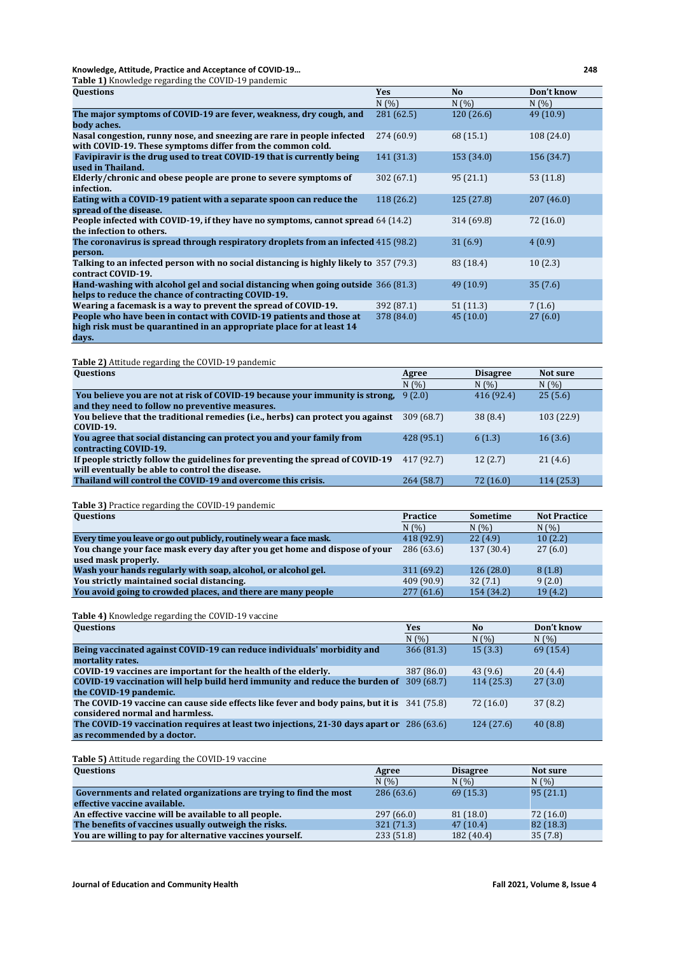**Knowledge, Attitude, Practice and Acceptance of COVID-19… 248 Table 1)** Knowledge regarding the COVID-19 pandemic

| <b>Lable 1)</b> Knowledge regarding the COVID-19 pandemic                                                                                    |            |            |            |
|----------------------------------------------------------------------------------------------------------------------------------------------|------------|------------|------------|
| Questions                                                                                                                                    | <b>Yes</b> | No         | Don't know |
|                                                                                                                                              | N(% )      | N(%        | N(%)       |
| The major symptoms of COVID-19 are fever, weakness, dry cough, and                                                                           | 281 (62.5) | 120(26.6)  | 49 (10.9)  |
| body aches.                                                                                                                                  |            |            |            |
| Nasal congestion, runny nose, and sneezing are rare in people infected<br>with COVID-19. These symptoms differ from the common cold.         | 274 (60.9) | 68 (15.1)  | 108 (24.0) |
| Favipiravir is the drug used to treat COVID-19 that is currently being<br>used in Thailand.                                                  | 141 (31.3) | 153 (34.0) | 156 (34.7) |
| Elderly/chronic and obese people are prone to severe symptoms of<br>infection.                                                               | 302(67.1)  | 95(21.1)   | 53(11.8)   |
| Eating with a COVID-19 patient with a separate spoon can reduce the<br>spread of the disease.                                                | 118 (26.2) | 125(27.8)  | 207(46.0)  |
| People infected with COVID-19, if they have no symptoms, cannot spread 64 (14.2)<br>the infection to others.                                 |            | 314 (69.8) | 72 (16.0)  |
| The coronavirus is spread through respiratory droplets from an infected 415 (98.2)<br>person.                                                |            | 31(6.9)    | 4(0.9)     |
| Talking to an infected person with no social distancing is highly likely to 357 (79.3)<br>contract COVID-19.                                 |            | 83 (18.4)  | 10(2.3)    |
| Hand-washing with alcohol gel and social distancing when going outside 366 (81.3)<br>helps to reduce the chance of contracting COVID-19.     |            | 49(10.9)   | 35(7.6)    |
| Wearing a facemask is a way to prevent the spread of COVID-19.                                                                               | 392 (87.1) | 51(11.3)   | 7(1.6)     |
| People who have been in contact with COVID-19 patients and those at<br>high risk must be quarantined in an appropriate place for at least 14 | 378 (84.0) | 45(10.0)   | 27(6.0)    |
| days.                                                                                                                                        |            |            |            |

**Table 2)** Attitude regarding the COVID-19 pandemic

| <b>Questions</b>                                                                | Agree      | <b>Disagree</b> | Not sure   |
|---------------------------------------------------------------------------------|------------|-----------------|------------|
|                                                                                 | N(% )      | N(%)            | N(%        |
| You believe you are not at risk of COVID-19 because your immunity is strong.    | 9(2.0)     | 416 (92.4)      | 25(5.6)    |
| and they need to follow no preventive measures.                                 |            |                 |            |
| You believe that the traditional remedies (i.e., herbs) can protect you against | 309 (68.7) | 38 (8.4)        | 103 (22.9) |
| <b>COVID-19.</b>                                                                |            |                 |            |
| You agree that social distancing can protect you and your family from           | 428 (95.1) | 6(1.3)          | 16(3.6)    |
| contracting COVID-19.                                                           |            |                 |            |
| If people strictly follow the guidelines for preventing the spread of COVID-19  | 417 (92.7) | 12(2.7)         | 21(4.6)    |
| will eventually be able to control the disease.                                 |            |                 |            |
| Thailand will control the COVID-19 and overcome this crisis.                    | 264(58.7)  | 72 (16.0)       | 114 (25.3) |

**Table 3)** Practice regarding the COVID-19 pandemic

| <b>Practice</b> | Sometime   | <b>Not Practice</b> |
|-----------------|------------|---------------------|
| N(%)            | N(%)       | N(%)                |
| 418 (92.9)      | 22(4.9)    | 10(2.2)             |
| 286 (63.6)      | 137 (30.4) | 27(6.0)             |
|                 |            |                     |
| 311(69.2)       | 126(28.0)  | 8(1.8)              |
| 409 (90.9)      | 32(7.1)    | 9(2.0)              |
| 277(61.6)       | 154 (34.2) | 19(4.2)             |
|                 |            |                     |

# **Table 4)** Knowledge regarding the COVID-19 vaccine

| <b>Questions</b>                                                                            | Yes        | N <sub>o</sub> | Don't know |
|---------------------------------------------------------------------------------------------|------------|----------------|------------|
|                                                                                             | N(%)       | N(%)           | N(%)       |
| Being vaccinated against COVID-19 can reduce individuals' morbidity and                     | 366(81.3)  | 15(3.3)        | 69 (15.4)  |
| mortality rates.                                                                            |            |                |            |
| COVID-19 vaccines are important for the health of the elderly.                              | 387 (86.0) | 43 (9.6)       | 20(4.4)    |
| COVID-19 vaccination will help build herd immunity and reduce the burden of                 | 309(68.7)  | 114(25.3)      | 27(3.0)    |
| the COVID-19 pandemic.                                                                      |            |                |            |
| The COVID-19 vaccine can cause side effects like fever and body pains, but it is 341 (75.8) |            | 72 (16.0)      | 37(8.2)    |
| considered normal and harmless.                                                             |            |                |            |
| The COVID-19 vaccination requires at least two injections, 21-30 days apart or 286 (63.6)   |            | 124 (27.6)     | 40(8.8)    |
| as recommended by a doctor.                                                                 |            |                |            |

**Table 5)** Attitude regarding the COVID-19 vaccine

| <b>Questions</b>                                                  | Agree      | <b>Disagree</b> | Not sure  |
|-------------------------------------------------------------------|------------|-----------------|-----------|
|                                                                   | N(%)       | N(%)            | N(%)      |
| Governments and related organizations are trying to find the most | 286(63.6)  | 69(15.3)        | 95(21.1)  |
| effective vaccine available.                                      |            |                 |           |
| An effective vaccine will be available to all people.             | 297 (66.0) | 81(18.0)        | 72(16.0)  |
| The benefits of vaccines usually outweigh the risks.              | 321 (71.3) | 47(10.4)        | 82 (18.3) |
| You are willing to pay for alternative vaccines yourself.         | 233 (51.8) | 182 (40.4)      | 35(7.8)   |

**Journal of Education and Community Health <b>Fall 2021, Volume 8, Issue 4**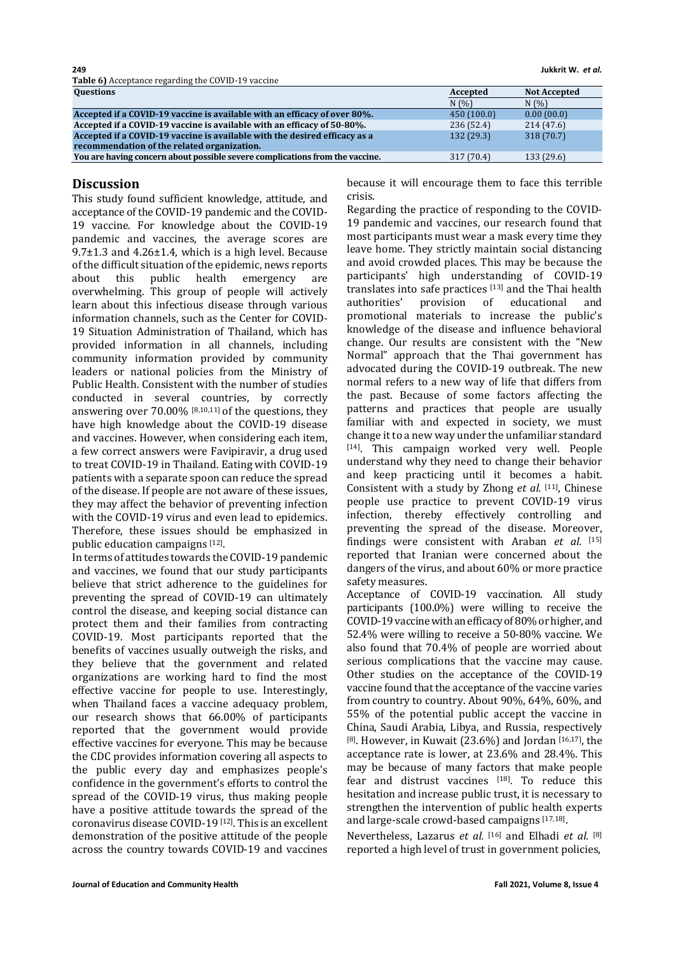**249 Jukkrit W.** *et al.* **Table 6)** Acceptance regarding the COVID-19 vaccine

| <b>Questions</b>                                                             | Accepted   | <b>Not Accepted</b> |
|------------------------------------------------------------------------------|------------|---------------------|
|                                                                              | N(%)       | N(%)                |
| Accepted if a COVID-19 vaccine is available with an efficacy of over 80%.    | 450(100.0) | 0.00(00.0)          |
| Accepted if a COVID-19 vaccine is available with an efficacy of 50-80%.      | 236 (52.4) | 214(47.6)           |
| Accepted if a COVID-19 vaccine is available with the desired efficacy as a   | 132 (29.3) | 318 (70.7)          |
| recommendation of the related organization.                                  |            |                     |
| You are having concern about possible severe complications from the vaccine. | 317 (70.4) | 133 (29.6)          |

# **Discussion**

This study found sufficient knowledge, attitude, and acceptance of the COVID-19 pandemic and the COVID-19 vaccine. For knowledge about the COVID-19 pandemic and vaccines, the average scores are  $9.7\pm1.3$  and  $4.26\pm1.4$ , which is a high level. Because of the difficult situation of the epidemic, news reports<br>about this public health emergency are public health emergency overwhelming. This group of people will actively learn about this infectious disease through various information channels, such as the Center for COVID-19 Situation Administration of Thailand, which has provided information in all channels, including community information provided by community leaders or national policies from the Ministry of Public Health. Consistent with the number of studies conducted in several countries, by correctly answering over 70.00% [8,10,11] of the questions, they have high knowledge about the COVID-19 disease and vaccines. However, when considering each item, a few correct answers were Favipiravir, a drug used to treat COVID-19 in Thailand. Eating with COVID-19 patients with a separate spoon can reduce the spread of the disease. If people are not aware of these issues, they may affect the behavior of preventing infection with the COVID-19 virus and even lead to epidemics. Therefore, these issues should be emphasized in public education campaigns [12].

In terms of attitudes towards the COVID-19 pandemic and vaccines, we found that our study participants believe that strict adherence to the guidelines for preventing the spread of COVID-19 can ultimately control the disease, and keeping social distance can protect them and their families from contracting COVID-19. Most participants reported that the benefits of vaccines usually outweigh the risks, and they believe that the government and related organizations are working hard to find the most effective vaccine for people to use. Interestingly, when Thailand faces a vaccine adequacy problem, our research shows that 66.00% of participants reported that the government would provide effective vaccines for everyone. This may be because the CDC provides information covering all aspects to the public every day and emphasizes people's confidence in the government's efforts to control the spread of the COVID-19 virus, thus making people have a positive attitude towards the spread of the coronavirus disease COVID-19 [12]. This is an excellent demonstration of the positive attitude of the people across the country towards COVID-19 and vaccines

because it will encourage them to face this terrible crisis.

Regarding the practice of responding to the COVID-19 pandemic and vaccines, our research found that most participants must wear a mask every time they leave home. They strictly maintain social distancing and avoid crowded places. This may be because the participants' high understanding of COVID-19 translates into safe practices  $[13]$  and the Thai health authorities' provision of educational and of educational promotional materials to increase the public's knowledge of the disease and influence behavioral change. Our results are consistent with the "New Normal" approach that the Thai government has advocated during the COVID-19 outbreak. The new normal refers to a new way of life that differs from the past. Because of some factors affecting the patterns and practices that people are usually familiar with and expected in society, we must change it to a new way under the unfamiliar standard [14]. This campaign worked very well. People understand why they need to change their behavior and keep practicing until it becomes a habit. Consistent with a study by Zhong *et al.* [11], Chinese people use practice to prevent COVID-19 virus infection, thereby effectively controlling and preventing the spread of the disease. Moreover, findings were consistent with Araban *et al.* [15] reported that Iranian were concerned about the dangers of the virus, and about 60% or more practice safety measures.

Acceptance of COVID-19 vaccination. All study participants (100.0%) were willing to receive the COVID-19 vaccine with an efficacy of 80% or higher, and 52.4% were willing to receive a 50-80% vaccine. We also found that 70.4% of people are worried about serious complications that the vaccine may cause. Other studies on the acceptance of the COVID-19 vaccine found that the acceptance of the vaccine varies from country to country. About 90%, 64%, 60%, and 55% of the potential public accept the vaccine in China, Saudi Arabia, Libya, and Russia, respectively [8]. However, in Kuwait (23.6%) and Jordan [16,17], the acceptance rate is lower, at 23.6% and 28.4%. This may be because of many factors that make people fear and distrust vaccines [18]. To reduce this hesitation and increase public trust, it is necessary to strengthen the intervention of public health experts and large-scale crowd-based campaigns [17,18].

Nevertheless, Lazarus *et al.* [16] and Elhadi *et al.* [8] reported a high level of trust in government policies,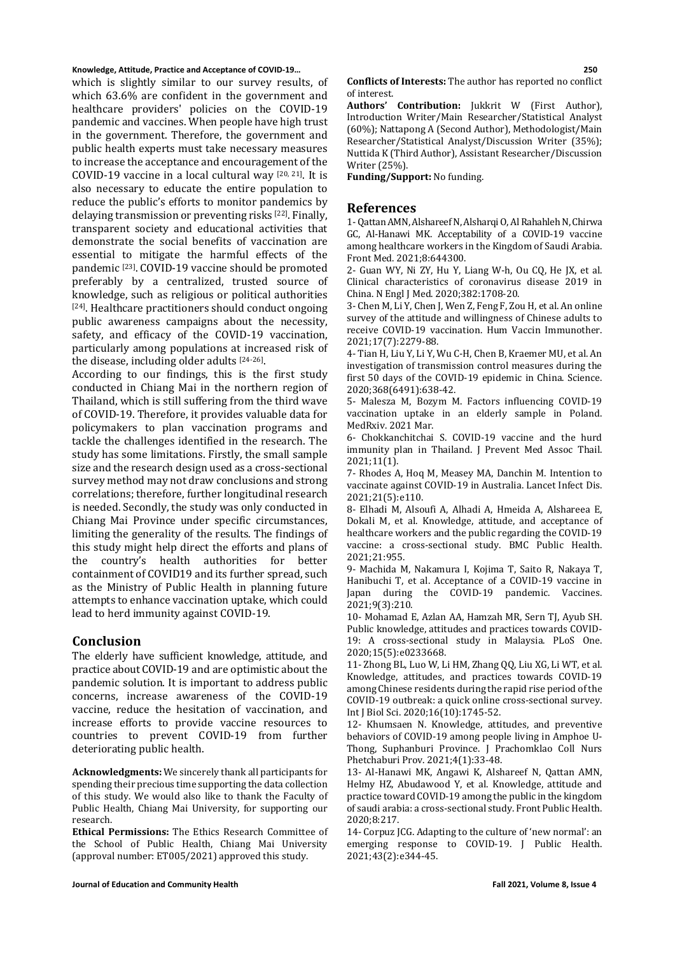**Knowledge, Attitude, Practice and Acceptance of COVID-19… 250**

which is slightly similar to our survey results, of which 63.6% are confident in the government and healthcare providers' policies on the COVID-19 pandemic and vaccines. When people have high trust in the government. Therefore, the government and public health experts must take necessary measures to increase the acceptance and encouragement of the COVID-19 vaccine in a local cultural way  $[20, 21]$ . It is also necessary to educate the entire population to reduce the public's efforts to monitor pandemics by delaying transmission or preventing risks [22]. Finally, transparent society and educational activities that demonstrate the social benefits of vaccination are essential to mitigate the harmful effects of the pandemic [23] . COVID-19 vaccine should be promoted preferably by a centralized, trusted source of knowledge, such as religious or political authorities [24]. Healthcare practitioners should conduct ongoing public awareness campaigns about the necessity, safety, and efficacy of the COVID-19 vaccination, particularly among populations at increased risk of the disease, including older adults [24-26].

According to our findings, this is the first study conducted in Chiang Mai in the northern region of Thailand, which is still suffering from the third wave of COVID-19. Therefore, it provides valuable data for policymakers to plan vaccination programs and tackle the challenges identified in the research. The study has some limitations. Firstly, the small sample size and the research design used as a cross-sectional survey method may not draw conclusions and strong correlations; therefore, further longitudinal research is needed. Secondly, the study was only conducted in Chiang Mai Province under specific circumstances, limiting the generality of the results. The findings of this study might help direct the efforts and plans of<br>the country's health authorities for hetter country's health authorities for better containment of COVID19 and its further spread, such as the Ministry of Public Health in planning future attempts to enhance vaccination uptake, which could lead to herd immunity against COVID-19.

# **Conclusion**

The elderly have sufficient knowledge, attitude, and practice about COVID-19 and are optimistic about the pandemic solution. It is important to address public concerns, increase awareness of the COVID-19 vaccine, reduce the hesitation of vaccination, and increase efforts to provide vaccine resources to countries to prevent COVID-19 from further deteriorating public health.

**Acknowledgments:** We sincerely thank all participants for spending their precious time supporting the data collection of this study. We would also like to thank the Faculty of Public Health, Chiang Mai University, for supporting our research.

**Ethical Permissions:** The Ethics Research Committee of the School of Public Health, Chiang Mai University (approval number: ET005/2021) approved this study.

**Conflicts of Interests:** The author has reported no conflict of interest.

**Authors' Contribution:** Jukkrit W (First Author), Introduction Writer/Main Researcher/Statistical Analyst (60%); Nattapong A (Second Author), Methodologist/Main Researcher/Statistical Analyst/Discussion Writer (35%); Nuttida K (Third Author), Assistant Researcher/Discussion Writer (25%).

**Funding/Support:** No funding.

# **References**

1- Qattan AMN, Alshareef N, Alsharqi O, Al Rahahleh N, Chirwa GC, Al-Hanawi MK. Acceptability of a COVID-19 vaccine among healthcare workers in the Kingdom of Saudi Arabia. Front Med. 2021;8:644300.

2- Guan WY, Ni ZY, Hu Y, Liang W-h, Ou CQ, He JX, et al. Clinical characteristics of coronavirus disease 2019 in China. N Engl J Med. 2020;382:1708-20.

3- Chen M, Li Y, Chen J, Wen Z, Feng F, Zou H, et al. An online survey of the attitude and willingness of Chinese adults to receive COVID-19 vaccination. Hum Vaccin Immunother. 2021;17(7):2279-88.

4- Tian H, Liu Y, Li Y, Wu C-H, Chen B, Kraemer MU, et al. An investigation of transmission control measures during the first 50 days of the COVID-19 epidemic in China. Science. 2020;368(6491):638-42.

5- Malesza M, Bozym M. Factors influencing COVID-19 vaccination uptake in an elderly sample in Poland. MedRxiv. 2021 Mar.

6- Chokkanchitchai S. COVID-19 vaccine and the hurd immunity plan in Thailand. J Prevent Med Assoc Thail. 2021;11(1).

7- Rhodes A, Hoq M, Measey MA, Danchin M. Intention to vaccinate against COVID-19 in Australia. Lancet Infect Dis. 2021;21(5):e110.

8- Elhadi M, Alsoufi A, Alhadi A, Hmeida A, Alshareea E, Dokali M, et al. Knowledge, attitude, and acceptance of healthcare workers and the public regarding the COVID-19 vaccine: a cross-sectional study. BMC Public Health. 2021;21:955.

9- Machida M, Nakamura I, Kojima T, Saito R, Nakaya T, Hanibuchi T, et al. Acceptance of a COVID-19 vaccine in Japan during the COVID-19 pandemic. Vaccines. 2021;9(3):210.

10- Mohamad E, Azlan AA, Hamzah MR, Sern TJ, Ayub SH. Public knowledge, attitudes and practices towards COVID-19: A cross-sectional study in Malaysia. PLoS One. 2020;15(5):e0233668.

11- Zhong BL, Luo W, Li HM, Zhang QQ, Liu XG, Li WT, et al. Knowledge, attitudes, and practices towards COVID-19 among Chinese residents during the rapid rise period of the COVID-19 outbreak: a quick online cross-sectional survey. Int J Biol Sci. 2020;16(10):1745-52.

12- Khumsaen N. Knowledge, attitudes, and preventive behaviors of COVID-19 among people living in Amphoe U-Thong, Suphanburi Province. J Prachomklao Coll Nurs Phetchaburi Prov. 2021;4(1):33-48.

13- Al-Hanawi MK, Angawi K, Alshareef N, Qattan AMN, Helmy HZ, Abudawood Y, et al. Knowledge, attitude and practice toward COVID-19 among the public in the kingdom of saudi arabia: a cross-sectional study. Front Public Health. 2020;8:217.

14- Corpuz JCG. Adapting to the culture of 'new normal': an emerging response to COVID-19. J Public Health. 2021;43(2):e344-45.